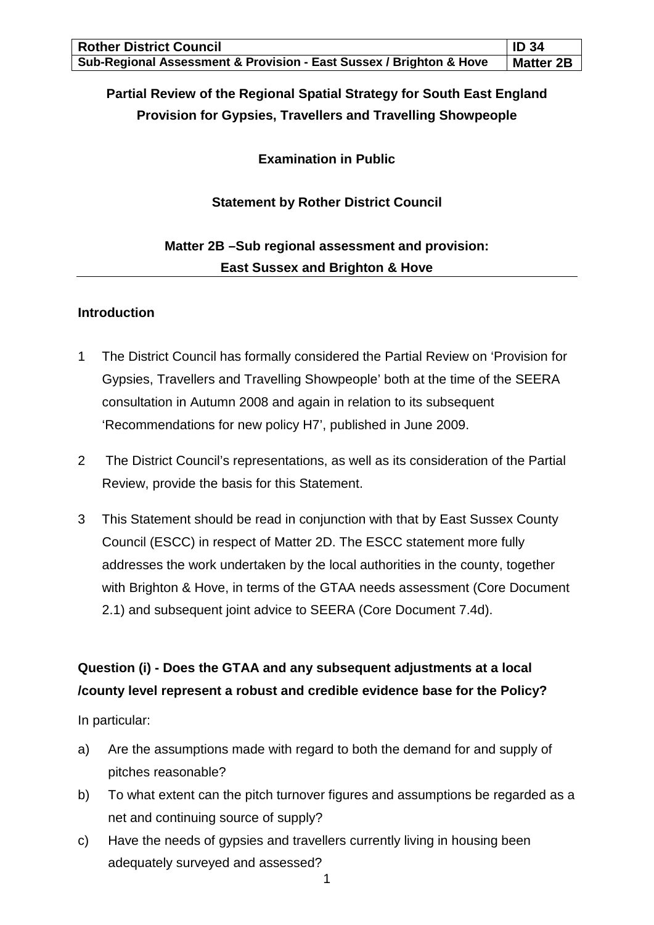| <b>Rother District Council</b>                                      | <b>ID 34</b>     |
|---------------------------------------------------------------------|------------------|
| Sub-Regional Assessment & Provision - East Sussex / Brighton & Hove | <b>Matter 2B</b> |

## **Partial Review of the Regional Spatial Strategy for South East England Provision for Gypsies, Travellers and Travelling Showpeople**

**Examination in Public**

### **Statement by Rother District Council**

## **Matter 2B –Sub regional assessment and provision: East Sussex and Brighton & Hove**

#### **Introduction**

- 1 The District Council has formally considered the Partial Review on 'Provision for Gypsies, Travellers and Travelling Showpeople' both at the time of the SEERA consultation in Autumn 2008 and again in relation to its subsequent 'Recommendations for new policy H7', published in June 2009.
- 2 The District Council's representations, as well as its consideration of the Partial Review, provide the basis for this Statement.
- 3 This Statement should be read in conjunction with that by East Sussex County Council (ESCC) in respect of Matter 2D. The ESCC statement more fully addresses the work undertaken by the local authorities in the county, together with Brighton & Hove, in terms of the GTAA needs assessment (Core Document 2.1) and subsequent joint advice to SEERA (Core Document 7.4d).

## **Question (i) - Does the GTAA and any subsequent adjustments at a local /county level represent a robust and credible evidence base for the Policy?**

In particular:

- a) Are the assumptions made with regard to both the demand for and supply of pitches reasonable?
- b) To what extent can the pitch turnover figures and assumptions be regarded as a net and continuing source of supply?
- c) Have the needs of gypsies and travellers currently living in housing been adequately surveyed and assessed?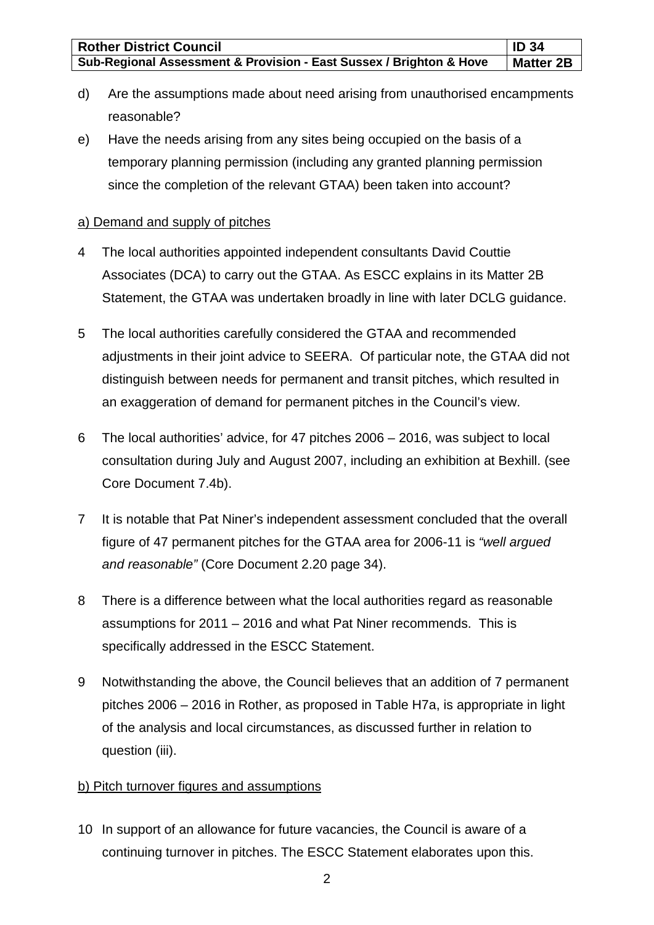| <b>Rother District Council</b>                                      | $\mathsf{ID}34$  |
|---------------------------------------------------------------------|------------------|
| Sub-Regional Assessment & Provision - East Sussex / Brighton & Hove | <b>Matter 2B</b> |

- d) Are the assumptions made about need arising from unauthorised encampments reasonable?
- e) Have the needs arising from any sites being occupied on the basis of a temporary planning permission (including any granted planning permission since the completion of the relevant GTAA) been taken into account?

#### a) Demand and supply of pitches

- 4 The local authorities appointed independent consultants David Couttie Associates (DCA) to carry out the GTAA. As ESCC explains in its Matter 2B Statement, the GTAA was undertaken broadly in line with later DCLG guidance.
- 5 The local authorities carefully considered the GTAA and recommended adjustments in their joint advice to SEERA. Of particular note, the GTAA did not distinguish between needs for permanent and transit pitches, which resulted in an exaggeration of demand for permanent pitches in the Council's view.
- 6 The local authorities' advice, for 47 pitches 2006 2016, was subject to local consultation during July and August 2007, including an exhibition at Bexhill. (see Core Document 7.4b).
- 7 It is notable that Pat Niner's independent assessment concluded that the overall figure of 47 permanent pitches for the GTAA area for 2006-11 is *"well argued and reasonable"* (Core Document 2.20 page 34).
- 8 There is a difference between what the local authorities regard as reasonable assumptions for 2011 – 2016 and what Pat Niner recommends. This is specifically addressed in the ESCC Statement.
- 9 Notwithstanding the above, the Council believes that an addition of 7 permanent pitches 2006 – 2016 in Rother, as proposed in Table H7a, is appropriate in light of the analysis and local circumstances, as discussed further in relation to question (iii).

#### b) Pitch turnover figures and assumptions

10 In support of an allowance for future vacancies, the Council is aware of a continuing turnover in pitches. The ESCC Statement elaborates upon this.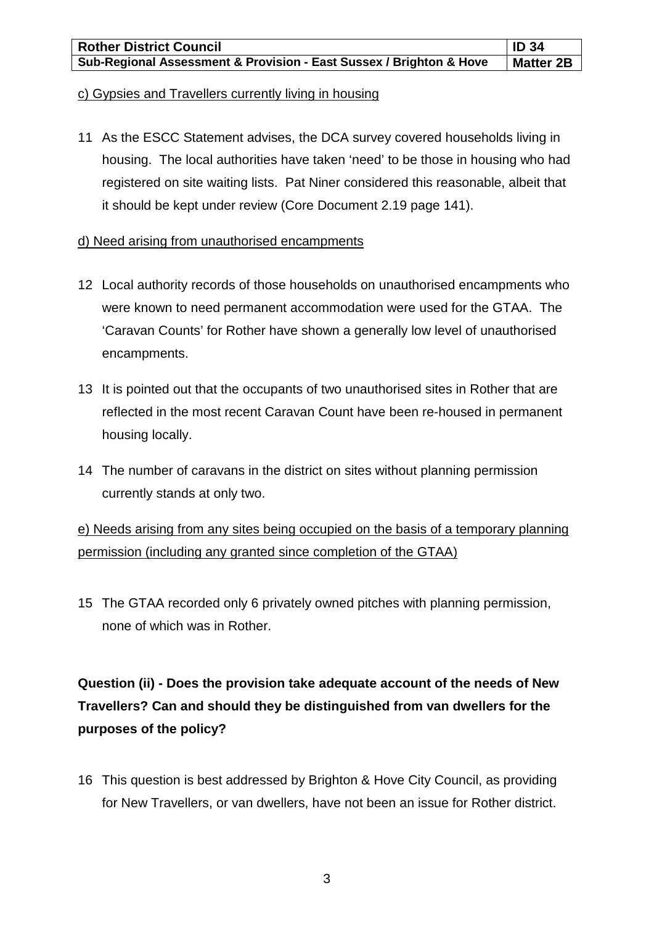#### c) Gypsies and Travellers currently living in housing

11 As the ESCC Statement advises, the DCA survey covered households living in housing. The local authorities have taken 'need' to be those in housing who had registered on site waiting lists. Pat Niner considered this reasonable, albeit that it should be kept under review (Core Document 2.19 page 141).

#### d) Need arising from unauthorised encampments

- 12 Local authority records of those households on unauthorised encampments who were known to need permanent accommodation were used for the GTAA. The 'Caravan Counts' for Rother have shown a generally low level of unauthorised encampments.
- 13 It is pointed out that the occupants of two unauthorised sites in Rother that are reflected in the most recent Caravan Count have been re-housed in permanent housing locally.
- 14 The number of caravans in the district on sites without planning permission currently stands at only two.

e) Needs arising from any sites being occupied on the basis of a temporary planning permission (including any granted since completion of the GTAA)

15 The GTAA recorded only 6 privately owned pitches with planning permission, none of which was in Rother.

# **Question (ii) - Does the provision take adequate account of the needs of New Travellers? Can and should they be distinguished from van dwellers for the purposes of the policy?**

16 This question is best addressed by Brighton & Hove City Council, as providing for New Travellers, or van dwellers, have not been an issue for Rother district.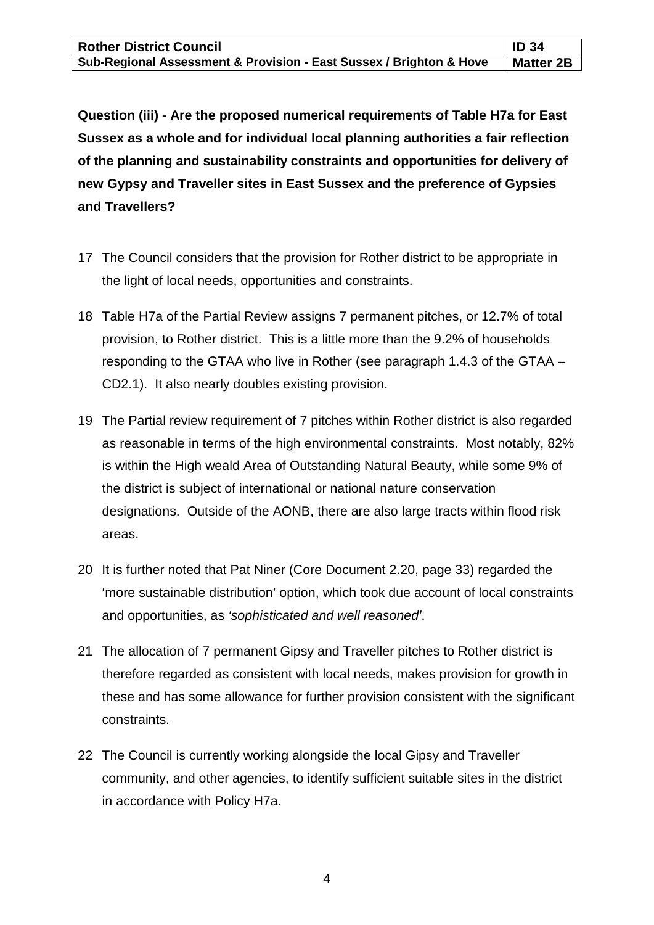| <b>Rother District Council</b>                                      | $\vert$ ID 34    |
|---------------------------------------------------------------------|------------------|
| Sub-Regional Assessment & Provision - East Sussex / Brighton & Hove | <b>Matter 2B</b> |

**Question (iii) - Are the proposed numerical requirements of Table H7a for East Sussex as a whole and for individual local planning authorities a fair reflection of the planning and sustainability constraints and opportunities for delivery of new Gypsy and Traveller sites in East Sussex and the preference of Gypsies and Travellers?**

- 17 The Council considers that the provision for Rother district to be appropriate in the light of local needs, opportunities and constraints.
- 18 Table H7a of the Partial Review assigns 7 permanent pitches, or 12.7% of total provision, to Rother district. This is a little more than the 9.2% of households responding to the GTAA who live in Rother (see paragraph 1.4.3 of the GTAA – CD2.1). It also nearly doubles existing provision.
- 19 The Partial review requirement of 7 pitches within Rother district is also regarded as reasonable in terms of the high environmental constraints. Most notably, 82% is within the High weald Area of Outstanding Natural Beauty, while some 9% of the district is subject of international or national nature conservation designations. Outside of the AONB, there are also large tracts within flood risk areas.
- 20 It is further noted that Pat Niner (Core Document 2.20, page 33) regarded the 'more sustainable distribution' option, which took due account of local constraints and opportunities, as *'sophisticated and well reasoned'*.
- 21 The allocation of 7 permanent Gipsy and Traveller pitches to Rother district is therefore regarded as consistent with local needs, makes provision for growth in these and has some allowance for further provision consistent with the significant constraints.
- 22 The Council is currently working alongside the local Gipsy and Traveller community, and other agencies, to identify sufficient suitable sites in the district in accordance with Policy H7a.